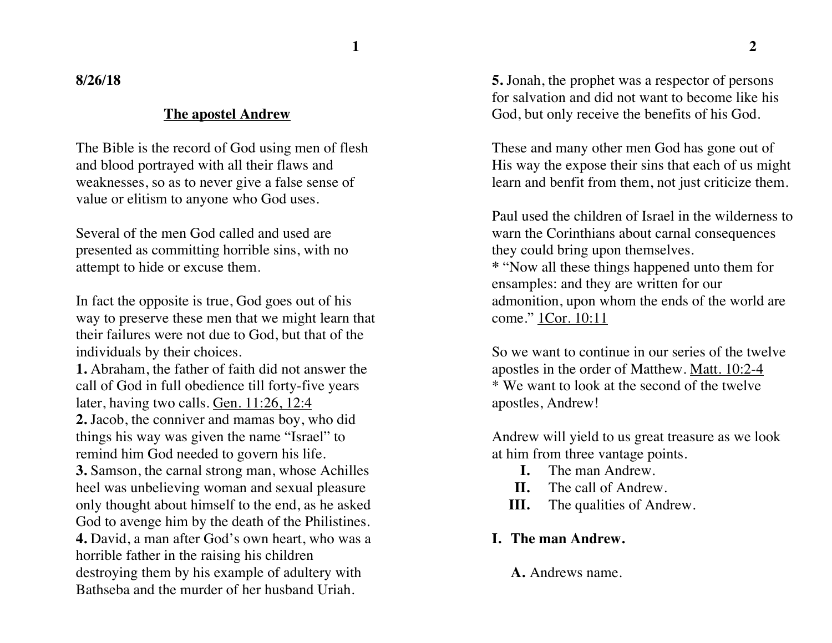**8/26/18**

#### **The apostel Andrew**

The Bible is the record of God using men of flesh and blood portrayed with all their flaws and weaknesses, so as to never give a false sense of value or elitism to anyone who God uses.

Several of the men God called and used are presented as committing horrible sins, with no attempt to hide or excuse them.

In fact the opposite is true, God goes out of his way to preserve these men that we might learn that their failures were not due to God, but that of the individuals by their choices.

**1.** Abraham, the father of faith did not answer the call of God in full obedience till forty-five years later, having two calls. Gen. 11:26, 12:4 **2.** Jacob, the conniver and mamas boy, who did things his way was given the name "Israel" to remind him God needed to govern his life.

**3.** Samson, the carnal strong man, whose Achilles heel was unbelieving woman and sexual pleasure only thought about himself to the end, as he asked God to avenge him by the death of the Philistines. **4.** David, a man after God's own heart, who was a horrible father in the raising his children destroying them by his example of adultery with

Bathseba and the murder of her husband Uriah.

**5.** Jonah, the prophet was a respector of persons for salvation and did not want to become like his God, but only receive the benefits of his God.

These and many other men God has gone out of His way the expose their sins that each of us might learn and benfit from them, not just criticize them.

Paul used the children of Israel in the wilderness to warn the Corinthians about carnal consequences they could bring upon themselves. **\*** "Now all these things happened unto them for ensamples: and they are written for our admonition, upon whom the ends of the world are come." 1Cor. 10:11

So we want to continue in our series of the twelve apostles in the order of Matthew. Matt. 10:2-4 \* We want to look at the second of the twelve apostles, Andrew!

Andrew will yield to us great treasure as we look at him from three vantage points.

- **I.** The man Andrew.
- **II.** The call of Andrew.
- **III.** The qualities of Andrew.

## **I. The man Andrew.**

### **A.** Andrews name.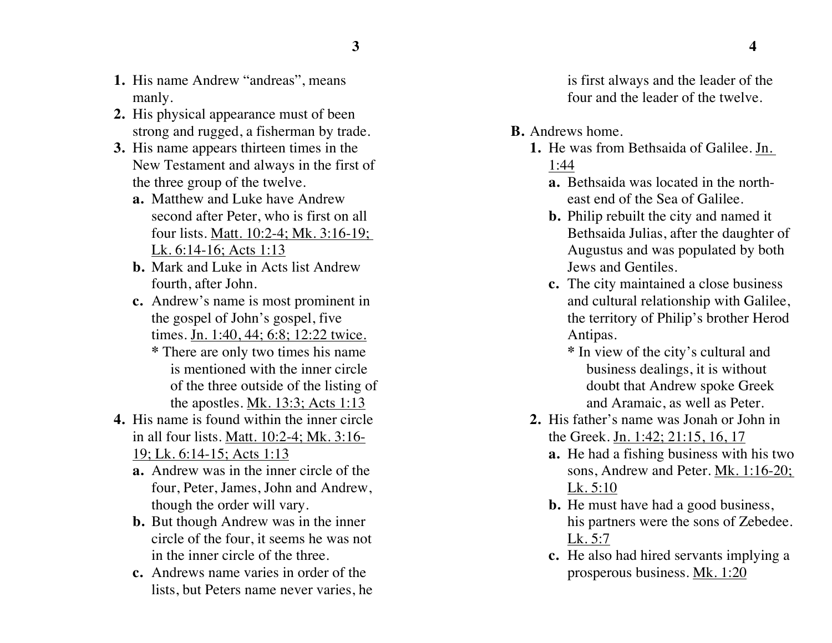- **1.** His name Andrew "andreas", means manly.
- **2.** His physical appearance must of been strong and rugged, a fisherman by trade.
- **3.** His name appears thirteen times in the New Testament and always in the first of the three group of the twelve.
	- **a.** Matthew and Luke have Andrew second after Peter, who is first on all four lists. Matt. 10:2-4; Mk. 3:16-19; Lk. 6:14-16; Acts 1:13
	- **b.** Mark and Luke in Acts list Andrew fourth, after John.
	- **c.** Andrew's name is most prominent in the gospel of John's gospel, five times. Jn. 1:40, 44; 6:8; 12:22 twice.
		- **\*** There are only two times his name is mentioned with the inner circle of the three outside of the listing of the apostles. Mk. 13:3; Acts 1:13
- **4.** His name is found within the inner circle in all four lists. Matt. 10:2-4; Mk. 3:16- 19; Lk. 6:14-15; Acts 1:13
	- **a.** Andrew was in the inner circle of the four, Peter, James, John and Andrew, though the order will vary.
	- **b.** But though Andrew was in the inner circle of the four, it seems he was not in the inner circle of the three.
	- **c.** Andrews name varies in order of the lists, but Peters name never varies, he

is first always and the leader of the four and the leader of the twelve.

- **B.** Andrews home.
	- **1.** He was from Bethsaida of Galilee. Jn. 1:44
		- **a.** Bethsaida was located in the northeast end of the Sea of Galilee.
		- **b.** Philip rebuilt the city and named it Bethsaida Julias, after the daughter of Augustus and was populated by both Jews and Gentiles.
		- **c.** The city maintained a close business and cultural relationship with Galilee, the territory of Philip's brother Herod Antipas.
			- **\*** In view of the city's cultural and business dealings, it is without doubt that Andrew spoke Greek and Aramaic, as well as Peter.
	- **2.** His father's name was Jonah or John in the Greek. Jn. 1:42; 21:15, 16, 17
		- **a.** He had a fishing business with his two sons, Andrew and Peter. Mk. 1:16-20; Lk. 5:10
		- **b.** He must have had a good business, his partners were the sons of Zebedee. Lk. 5:7
		- **c.** He also had hired servants implying a prosperous business. Mk. 1:20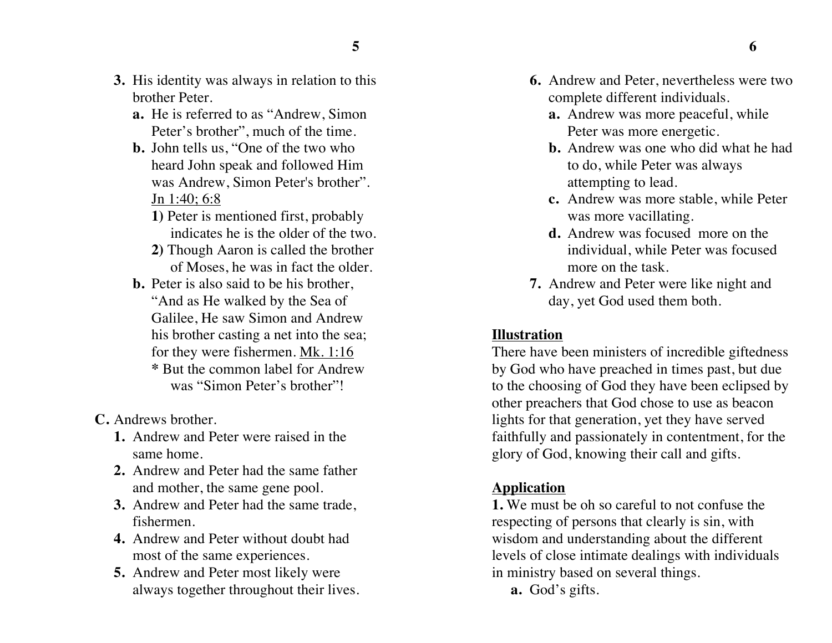- **3.** His identity was always in relation to this brother Peter.
	- **a.** He is referred to as "Andrew, Simon Peter's brother", much of the time.
	- **b.** John tells us, "One of the two who heard John speak and followed Him was Andrew, Simon Peter's brother". Jn 1:40; 6:8
		- **1)** Peter is mentioned first, probably indicates he is the older of the two.
		- **2)** Though Aaron is called the brother of Moses, he was in fact the older.
	- **b.** Peter is also said to be his brother, "And as He walked by the Sea of Galilee, He saw Simon and Andrew his brother casting a net into the sea; for they were fishermen. Mk. 1:16 **\*** But the common label for Andrew was "Simon Peter's brother"!

**C.** Andrews brother.

- **1.** Andrew and Peter were raised in the same home.
- **2.** Andrew and Peter had the same father and mother, the same gene pool.
- **3.** Andrew and Peter had the same trade, fishermen.
- **4.** Andrew and Peter without doubt had most of the same experiences.
- **5.** Andrew and Peter most likely were always together throughout their lives.
- **6.** Andrew and Peter, nevertheless were two complete different individuals.
	- **a.** Andrew was more peaceful, while Peter was more energetic.
	- **b.** Andrew was one who did what he had to do, while Peter was always attempting to lead.
	- **c.** Andrew was more stable, while Peter was more vacillating.
	- **d.** Andrew was focused more on the individual, while Peter was focused more on the task.
- **7.** Andrew and Peter were like night and day, yet God used them both.

#### **Illustration**

There have been ministers of incredible giftedness by God who have preached in times past, but due to the choosing of God they have been eclipsed by other preachers that God chose to use as beacon lights for that generation, yet they have served faithfully and passionately in contentment, for the glory of God, knowing their call and gifts.

#### **Application**

**1.** We must be oh so careful to not confuse the respecting of persons that clearly is sin, with wisdom and understanding about the different levels of close intimate dealings with individuals in ministry based on several things.

**a.** God's gifts.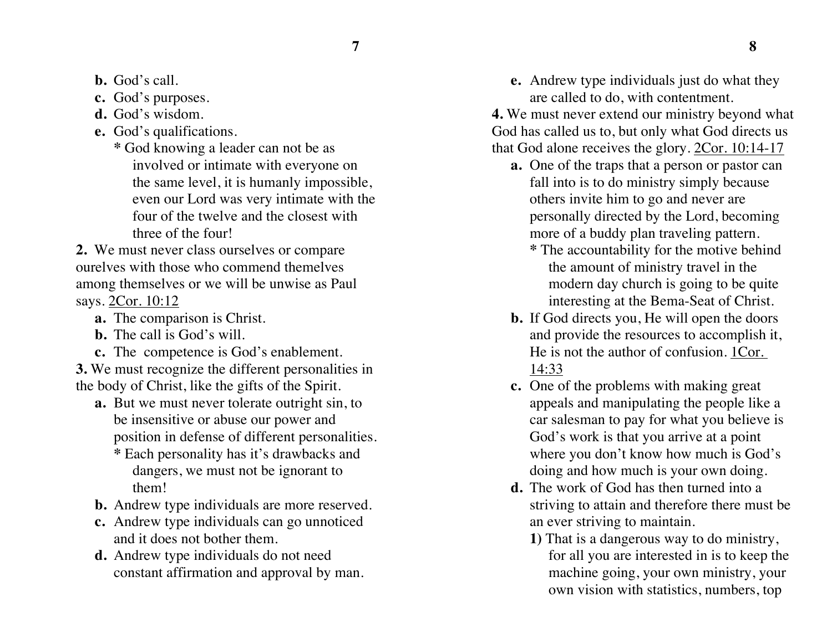**7 8**

- **b.** God's call.
- **c.** God's purposes.
- **d.** God's wisdom.
- **e.** God's qualifications.
	- **\*** God knowing a leader can not be as involved or intimate with everyone on the same level, it is humanly impossible, even our Lord was very intimate with the four of the twelve and the closest with three of the four!

**2.** We must never class ourselves or compare ourelves with those who commend themelves among themselves or we will be unwise as Paul says. 2Cor. 10:12

- **a.** The comparison is Christ.
- **b.** The call is God's will.
- **c.** The competence is God's enablement.

**3.** We must recognize the different personalities in the body of Christ, like the gifts of the Spirit.

- **a.** But we must never tolerate outright sin, to be insensitive or abuse our power and position in defense of different personalities.
	- **\*** Each personality has it's drawbacks and dangers, we must not be ignorant to them!
- **b.** Andrew type individuals are more reserved.
- **c.** Andrew type individuals can go unnoticed and it does not bother them.
- **d.** Andrew type individuals do not need constant affirmation and approval by man.
- **e.** Andrew type individuals just do what they are called to do, with contentment.
- **4.** We must never extend our ministry beyond what God has called us to, but only what God directs us that God alone receives the glory. 2Cor. 10:14-17
	- **a.** One of the traps that a person or pastor can fall into is to do ministry simply because others invite him to go and never are personally directed by the Lord, becoming more of a buddy plan traveling pattern.
		- **\*** The accountability for the motive behind the amount of ministry travel in the modern day church is going to be quite interesting at the Bema-Seat of Christ.
	- **b.** If God directs you, He will open the doors and provide the resources to accomplish it, He is not the author of confusion. 1Cor. 14:33
	- **c.** One of the problems with making great appeals and manipulating the people like a car salesman to pay for what you believe is God's work is that you arrive at a point where you don't know how much is God's doing and how much is your own doing.
	- **d.** The work of God has then turned into a striving to attain and therefore there must be an ever striving to maintain.
		- **1)** That is a dangerous way to do ministry, for all you are interested in is to keep the machine going, your own ministry, your own vision with statistics, numbers, top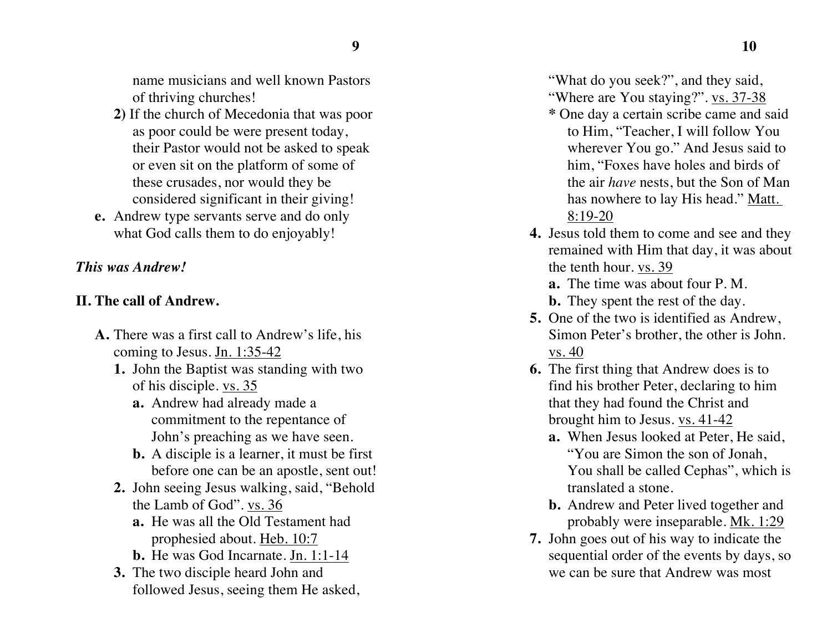name musicians and well known Pastors of thriving churches!

- **2)** If the church of Mecedonia that was poor as poor could be were present today, their Pastor would not be asked to speak or even sit on the platform of some of these crusades, nor would they be considered significant in their giving!
- **e.** Andrew type servants serve and do only what God calls them to do enjoyably!

# *This was Andrew!*

# **II. The call of Andrew.**

- **A.** There was a first call to Andrew's life, his coming to Jesus. Jn. 1:35-42
	- **1.** John the Baptist was standing with two of his disciple. vs. 35
		- **a.** Andrew had already made a commitment to the repentance of John's preaching as we have seen.
		- **b.** A disciple is a learner, it must be first before one can be an apostle, sent out!
	- **2.** John seeing Jesus walking, said, "Behold the Lamb of God". vs. 36
		- **a.** He was all the Old Testament had prophesied about. Heb. 10:7
		- **b.** He was God Incarnate. Jn. 1:1-14
	- **3.** The two disciple heard John and followed Jesus, seeing them He asked,

"What do you seek?", and they said, "Where are You staying?". vs. 37-38"

- **\*** One day a certain scribe came and said to Him, "Teacher, I will follow You wherever You go." And Jesus said to him, "Foxes have holes and birds of the air *have* nests, but the Son of Man has nowhere to lay His head." Matt. 8:19-20
- **4.** Jesus told them to come and see and they remained with Him that day, it was about the tenth hour. vs. 39

**a.** The time was about four P. M.

- **b.** They spent the rest of the day.
- **5.** One of the two is identified as Andrew, Simon Peter's brother, the other is John. vs. 40
- **6.** The first thing that Andrew does is to find his brother Peter, declaring to him that they had found the Christ and brought him to Jesus. vs. 41-42
	- **a.** When Jesus looked at Peter, He said, "You are Simon the son of Jonah, You shall be called Cephas", which is translated a stone.
	- **b.** Andrew and Peter lived together and probably were inseparable. Mk. 1:29
- **7.** John goes out of his way to indicate the sequential order of the events by days, so we can be sure that Andrew was most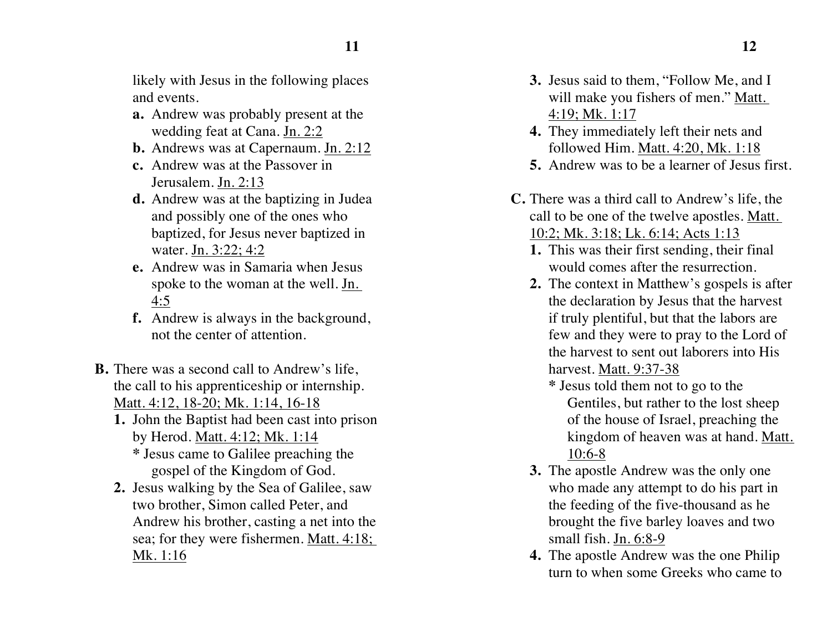likely with Jesus in the following places and events.

- **a.** Andrew was probably present at the wedding feat at Cana. Jn. 2:2
- **b.** Andrews was at Capernaum. Jn. 2:12
- **c.** Andrew was at the Passover in Jerusalem. Jn. 2:13
- **d.** Andrew was at the baptizing in Judea and possibly one of the ones who baptized, for Jesus never baptized in water. Jn. 3:22; 4:2
- **e.** Andrew was in Samaria when Jesus spoke to the woman at the well. Jn. 4:5
- **f.** Andrew is always in the background, not the center of attention.
- **B.** There was a second call to Andrew's life, the call to his apprenticeship or internship. Matt. 4:12, 18-20; Mk. 1:14, 16-18
	- **1.** John the Baptist had been cast into prison by Herod. Matt. 4:12; Mk. 1:14 **\*** Jesus came to Galilee preaching the gospel of the Kingdom of God.
	- **2.** Jesus walking by the Sea of Galilee, saw two brother, Simon called Peter, and Andrew his brother, casting a net into the sea; for they were fishermen. Matt. 4:18; Mk. 1:16
- **3.** Jesus said to them, "Follow Me, and I will make you fishers of men." Matt. 4:19; Mk. 1:17
- **4.** They immediately left their nets and followed Him. Matt. 4:20, Mk. 1:18
- **5.** Andrew was to be a learner of Jesus first.
- **C.** There was a third call to Andrew's life, the call to be one of the twelve apostles. Matt. 10:2; Mk. 3:18; Lk. 6:14; Acts 1:13
	- **1.** This was their first sending, their final would comes after the resurrection.
	- **2.** The context in Matthew's gospels is after the declaration by Jesus that the harvest if truly plentiful, but that the labors are few and they were to pray to the Lord of the harvest to sent out laborers into His harvest. Matt. 9:37-38
		- **\*** Jesus told them not to go to the Gentiles, but rather to the lost sheep of the house of Israel, preaching the kingdom of heaven was at hand. Matt. 10:6-8
	- **3.** The apostle Andrew was the only one who made any attempt to do his part in the feeding of the five-thousand as he brought the five barley loaves and two small fish. Jn. 6:8-9
	- **4.** The apostle Andrew was the one Philip turn to when some Greeks who came to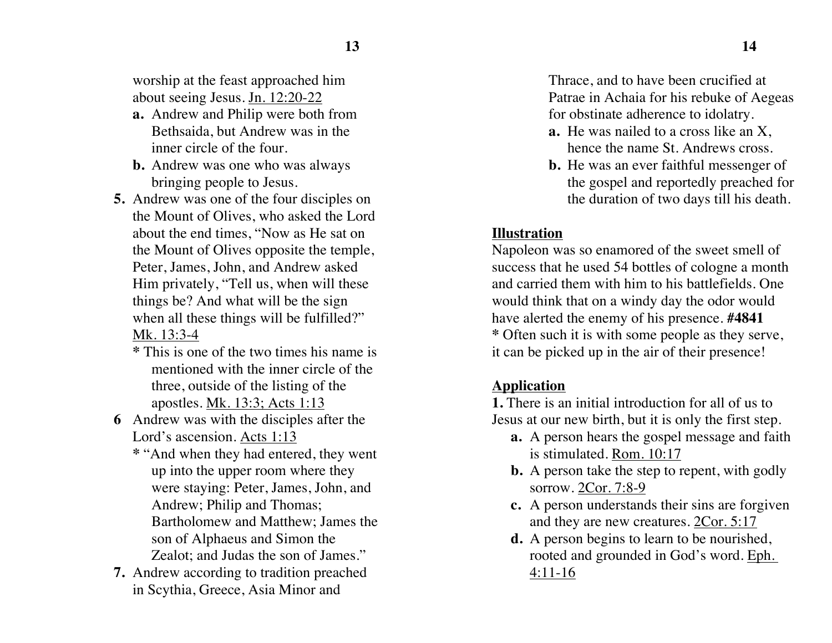worship at the feast approached him about seeing Jesus. Jn. 12:20-22

- **a.** Andrew and Philip were both from Bethsaida, but Andrew was in the inner circle of the four.
- **b.** Andrew was one who was always bringing people to Jesus.
- **5.** Andrew was one of the four disciples on the Mount of Olives, who asked the Lord about the end times, "Now as He sat on the Mount of Olives opposite the temple, Peter, James, John, and Andrew asked Him privately, "Tell us, when will these things be? And what will be the sign when all these things will be fulfilled?" Mk. 13:3-4
	- **\*** This is one of the two times his name is mentioned with the inner circle of the three, outside of the listing of the apostles. Mk. 13:3; Acts 1:13
- **6** Andrew was with the disciples after the Lord's ascension. Acts 1:13
	- **\*** "And when they had entered, they went up into the upper room where they were staying: Peter, James, John, and Andrew; Philip and Thomas; Bartholomew and Matthew; James the son of Alphaeus and Simon the Zealot; and Judas the son of James."
- **7.** Andrew according to tradition preached in Scythia, Greece, Asia Minor and

Thrace, and to have been crucified at Patrae in Achaia for his rebuke of Aegeas for obstinate adherence to idolatry.

- **a.** He was nailed to a cross like an X, hence the name St. Andrews cross.
- **b.** He was an ever faithful messenger of the gospel and reportedly preached for the duration of two days till his death.

## **Illustration**

Napoleon was so enamored of the sweet smell of success that he used 54 bottles of cologne a month and carried them with him to his battlefields. One would think that on a windy day the odor would have alerted the enemy of his presence. **#4841 \*** Often such it is with some people as they serve, it can be picked up in the air of their presence!

# **Application**

**1.** There is an initial introduction for all of us to Jesus at our new birth, but it is only the first step.

- **a.** A person hears the gospel message and faith is stimulated. Rom. 10:17
- **b.** A person take the step to repent, with godly sorrow. 2Cor. 7:8-9
- **c.** A person understands their sins are forgiven and they are new creatures. 2Cor. 5:17
- **d.** A person begins to learn to be nourished, rooted and grounded in God's word. Eph. 4:11-16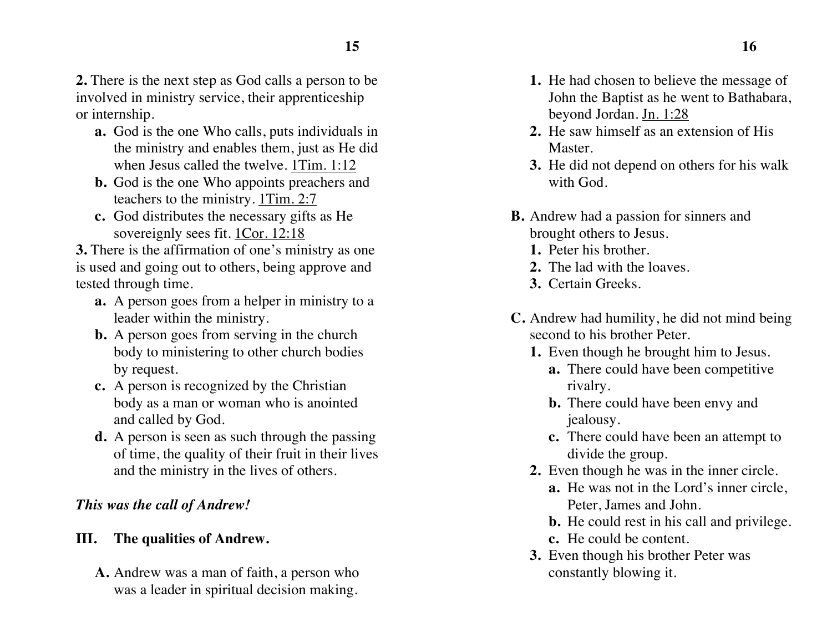**2.** There is the next step as God calls a person to be involved in ministry service, their apprenticeship or internship.

- **a.** God is the one Who calls, puts individuals in the ministry and enables them, just as He did when Jesus called the twelve. 1Tim. 1:12
- **b.** God is the one Who appoints preachers and teachers to the ministry. 1Tim. 2:7
- **c.** God distributes the necessary gifts as He sovereignly sees fit. 1Cor. 12:18

**3.** There is the affirmation of one's ministry as one is used and going out to others, being approve and tested through time.

- **a.** A person goes from a helper in ministry to a leader within the ministry.
- **b.** A person goes from serving in the church body to ministering to other church bodies by request.
- **c.** A person is recognized by the Christian body as a man or woman who is anointed and called by God.
- **d.** A person is seen as such through the passing of time, the quality of their fruit in their lives and the ministry in the lives of others.

# *This was the call of Andrew!*

# **III. The qualities of Andrew.**

**A.** Andrew was a man of faith, a person who was a leader in spiritual decision making.

- **1.** He had chosen to believe the message of John the Baptist as he went to Bathabara, beyond Jordan. Jn. 1:28
- **2.** He saw himself as an extension of His Master.
- **3.** He did not depend on others for his walk with God.
- **B.** Andrew had a passion for sinners and brought others to Jesus.
	- **1.** Peter his brother.
	- **2.** The lad with the loaves.
	- **3.** Certain Greeks.
- **C.** Andrew had humility, he did not mind being second to his brother Peter.
	- **1.** Even though he brought him to Jesus.
		- **a.** There could have been competitive rivalry.
		- **b.** There could have been envy and jealousy.
		- **c.** There could have been an attempt to divide the group.
	- **2.** Even though he was in the inner circle.
		- **a.** He was not in the Lord's inner circle, Peter, James and John.
		- **b.** He could rest in his call and privilege.
		- **c.** He could be content.
	- **3.** Even though his brother Peter was constantly blowing it.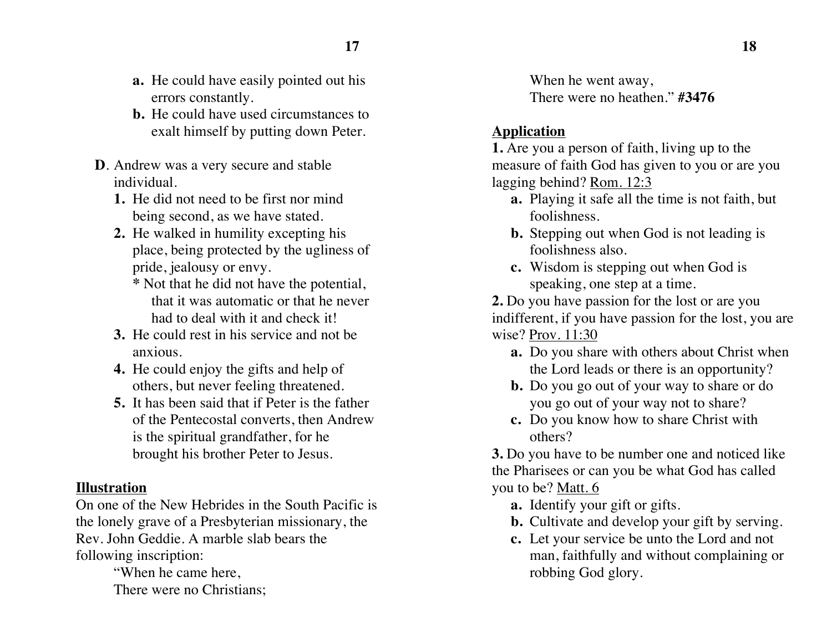- **a.** He could have easily pointed out his errors constantly.
- **b.** He could have used circumstances to exalt himself by putting down Peter.
- **D**. Andrew was a very secure and stable individual.
	- **1.** He did not need to be first nor mind being second, as we have stated.
	- **2.** He walked in humility excepting his place, being protected by the ugliness of pride, jealousy or envy.
		- **\*** Not that he did not have the potential, that it was automatic or that he never had to deal with it and check it!
	- **3.** He could rest in his service and not be anxious.
	- **4.** He could enjoy the gifts and help of others, but never feeling threatened.
	- **5.** It has been said that if Peter is the father of the Pentecostal converts, then Andrew is the spiritual grandfather, for he brought his brother Peter to Jesus.

### **Illustration**

On one of the New Hebrides in the South Pacific is the lonely grave of a Presbyterian missionary, the Rev. John Geddie. A marble slab bears the following inscription:

"When he came here, There were no Christians; When he went away, There were no heathen." **#3476**

## **Application**

**1.** Are you a person of faith, living up to the measure of faith God has given to you or are you lagging behind? Rom. 12:3

- **a.** Playing it safe all the time is not faith, but foolishness.
- **b.** Stepping out when God is not leading is foolishness also.
- **c.** Wisdom is stepping out when God is speaking, one step at a time.

**2.** Do you have passion for the lost or are you indifferent, if you have passion for the lost, you are wise? Prov. 11:30

- **a.** Do you share with others about Christ when the Lord leads or there is an opportunity?
- **b.** Do you go out of your way to share or do you go out of your way not to share?
- **c.** Do you know how to share Christ with others?

**3.** Do you have to be number one and noticed like the Pharisees or can you be what God has called you to be? Matt. 6

- **a.** Identify your gift or gifts.
- **b.** Cultivate and develop your gift by serving.
- **c.** Let your service be unto the Lord and not man, faithfully and without complaining or robbing God glory.